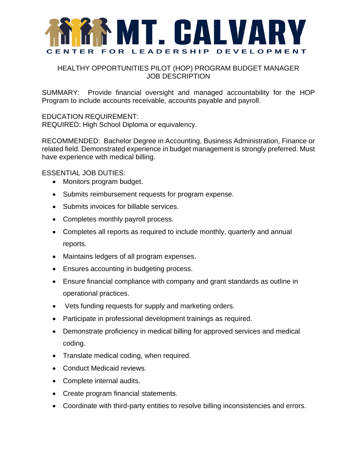

## HEALTHY OPPORTUNITIES PILOT (HOP) PROGRAM BUDGET MANAGER JOB DESCRIPTION

SUMMARY: Provide financial oversight and managed accountability for the HOP Program to include accounts receivable, accounts payable and payroll.

EDUCATION REQUIREMENT: REQUIRED: High School Diploma or equivalency.

RECOMMENDED: Bachelor Degree in Accounting, Business Administration, Finance or related field. Demonstrated experience in budget management is strongly preferred. Must have experience with medical billing.

ESSENTIAL JOB DUTIES:

- Monitors program budget.
- Submits reimbursement requests for program expense.
- Submits invoices for billable services.
- Completes monthly payroll process.
- Completes all reports as required to include monthly, quarterly and annual reports.
- Maintains ledgers of all program expenses.
- Ensures accounting in budgeting process.
- Ensure financial compliance with company and grant standards as outline in operational practices.
- Vets funding requests for supply and marketing orders.
- Participate in professional development trainings as required.
- Demonstrate proficiency in medical billing for approved services and medical coding.
- Translate medical coding, when required.
- Conduct Medicaid reviews.
- Complete internal audits.
- Create program financial statements.
- Coordinate with third-party entities to resolve billing inconsistencies and errors.